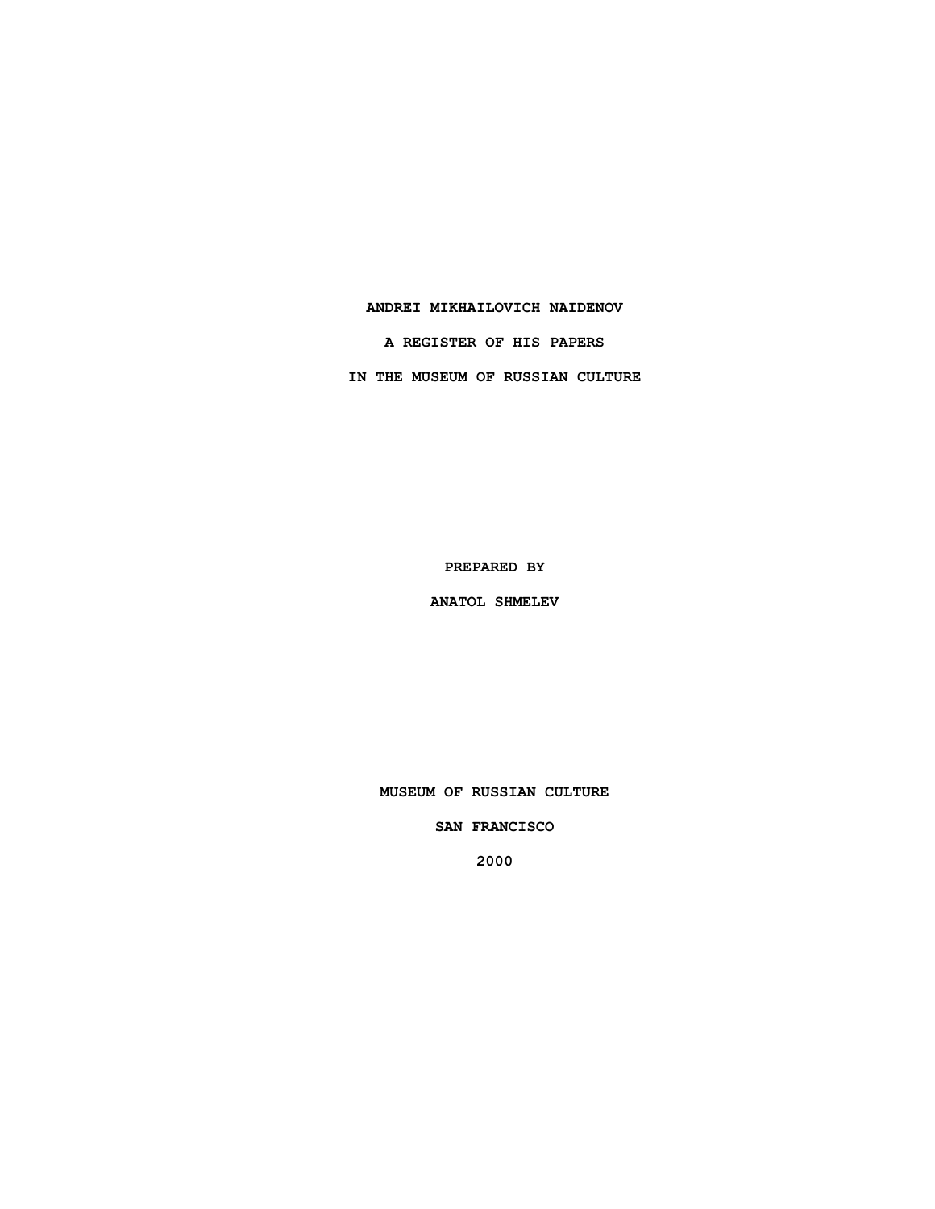### **ANDREI MIKHAILOVICH NAIDENOV**

**A REGISTER OF HIS PAPERS**

**IN THE MUSEUM OF RUSSIAN CULTURE**

**PREPARED BY**

**ANATOL SHMELEV**

**MUSEUM OF RUSSIAN CULTURE**

**SAN FRANCISCO**

**2000**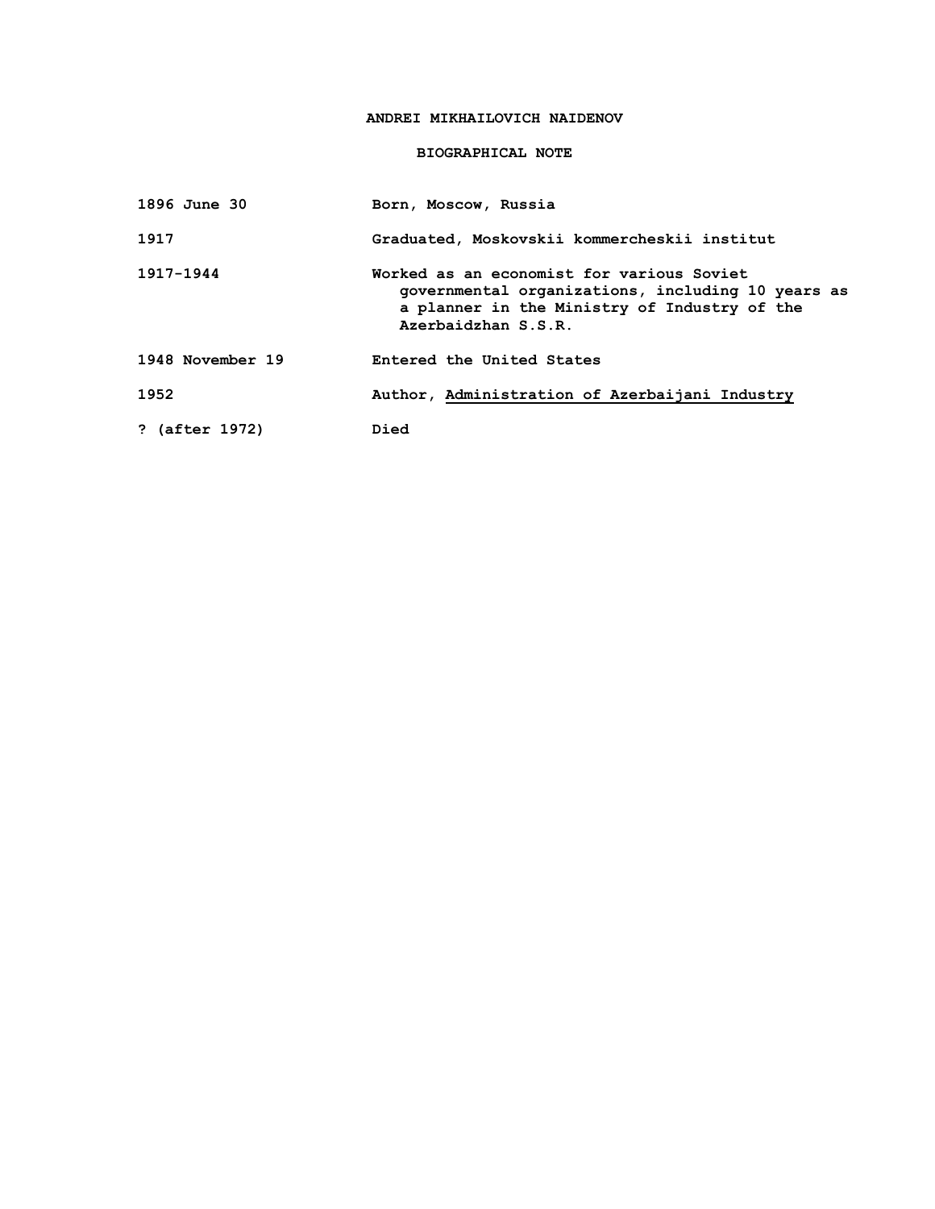# **ANDREI MIKHAILOVICH NAIDENOV**

## **BIOGRAPHICAL NOTE**

| 1896 June 30     | Born, Moscow, Russia                                                                                                                                                  |
|------------------|-----------------------------------------------------------------------------------------------------------------------------------------------------------------------|
| 1917             | Graduated, Moskovskii kommercheskii institut                                                                                                                          |
| 1917-1944        | Worked as an economist for various Soviet<br>governmental organizations, including 10 years as<br>a planner in the Ministry of Industry of the<br>Azerbaidzhan S.S.R. |
| 1948 November 19 | Entered the United States                                                                                                                                             |
| 1952             | Author, Administration of Azerbaijani Industry                                                                                                                        |
| ? (after 1972)   | Died                                                                                                                                                                  |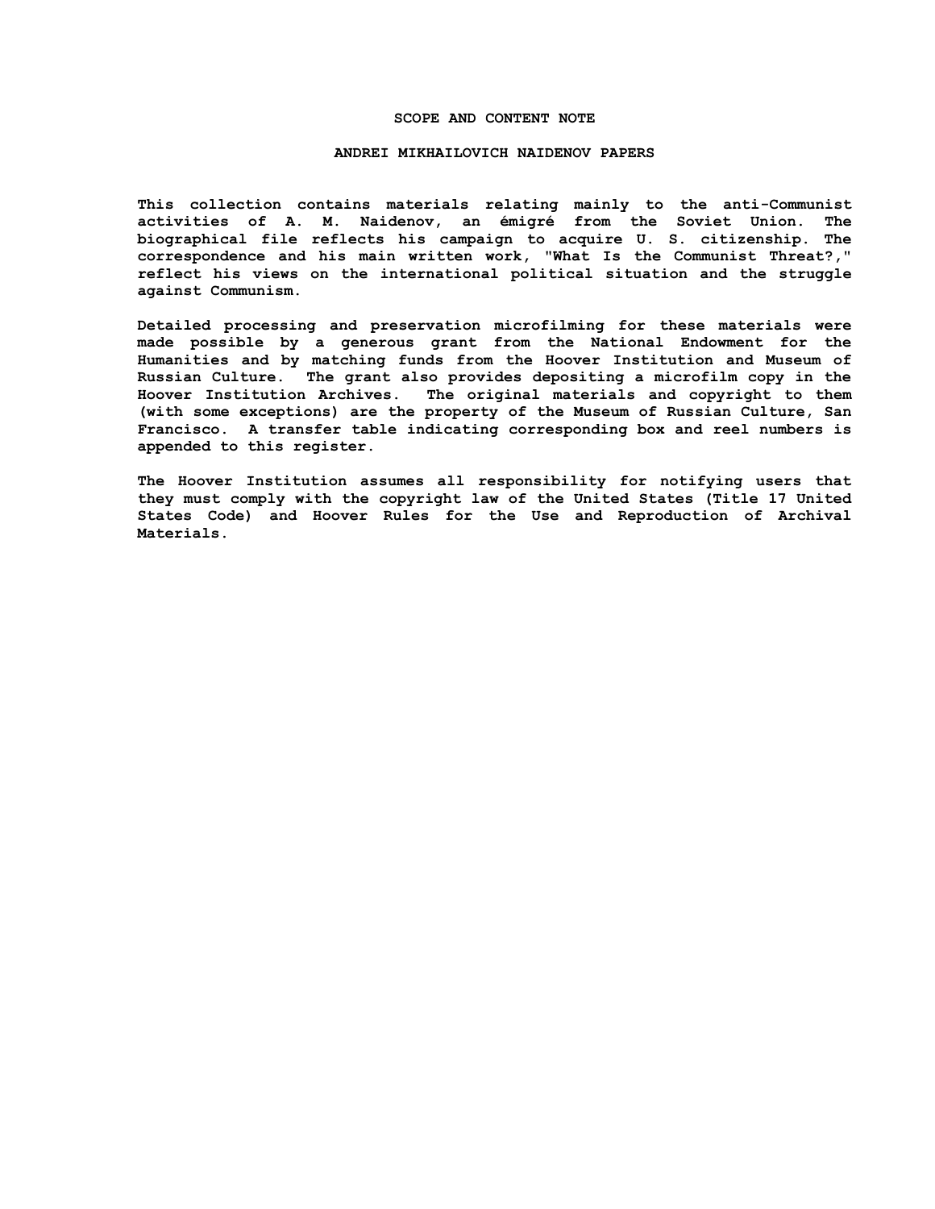#### **SCOPE AND CONTENT NOTE**

#### **ANDREI MIKHAILOVICH NAIDENOV PAPERS**

**This collection contains materials relating mainly to the anti-Communist activities of A. M. Naidenov, an émigré from the Soviet Union. The biographical file reflects his campaign to acquire U. S. citizenship. The correspondence and his main written work, "What Is the Communist Threat?," reflect his views on the international political situation and the struggle against Communism.**

**Detailed processing and preservation microfilming for these materials were made possible by a generous grant from the National Endowment for the Humanities and by matching funds from the Hoover Institution and Museum of Russian Culture. The grant also provides depositing a microfilm copy in the Hoover Institution Archives. The original materials and copyright to them (with some exceptions) are the property of the Museum of Russian Culture, San Francisco. A transfer table indicating corresponding box and reel numbers is appended to this register.**

**The Hoover Institution assumes all responsibility for notifying users that they must comply with the copyright law of the United States (Title 17 United States Code) and Hoover Rules for the Use and Reproduction of Archival Materials.**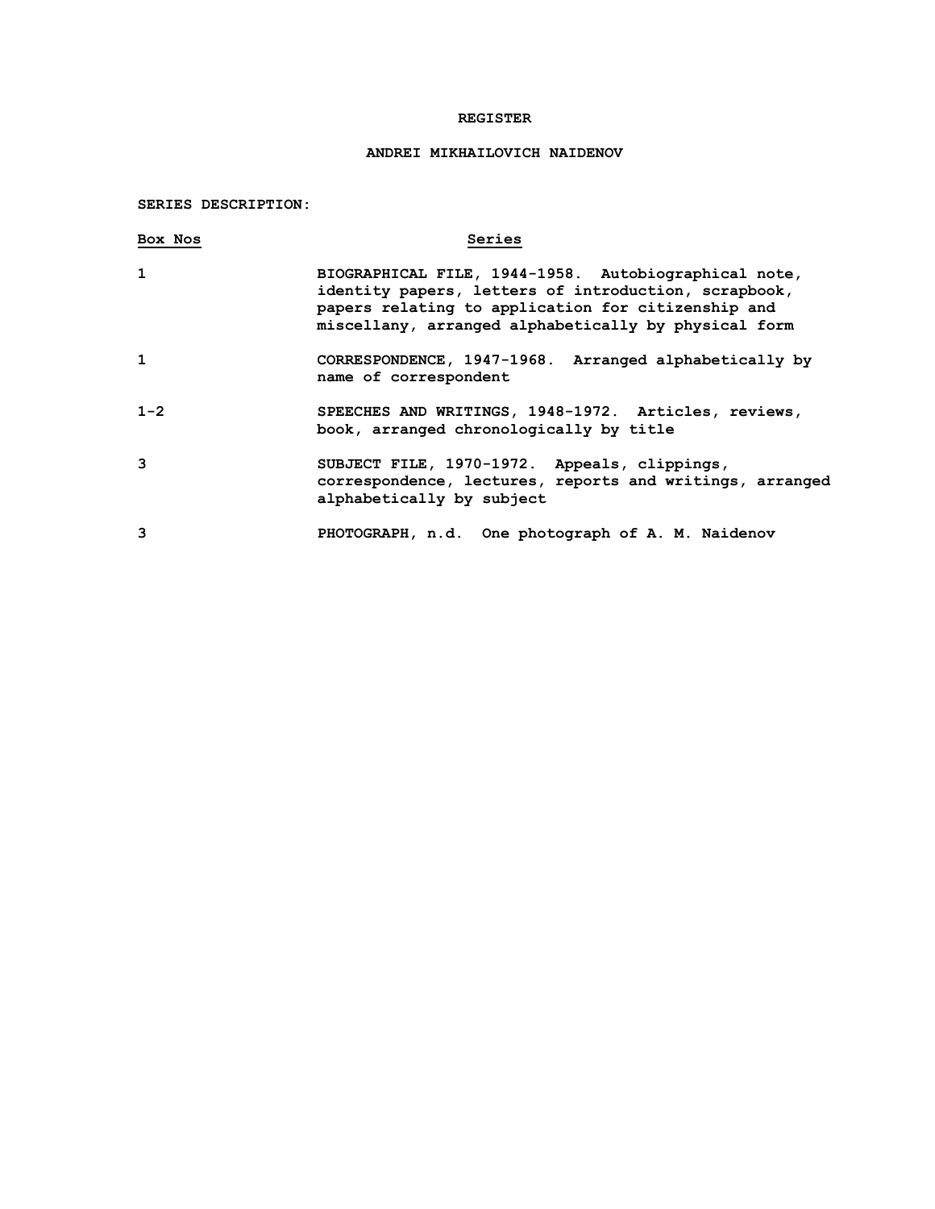### **REGISTER**

# **ANDREI MIKHAILOVICH NAIDENOV**

**SERIES DESCRIPTION:**

| Box Nos      | Series                                                                                                                                                                                                                     |
|--------------|----------------------------------------------------------------------------------------------------------------------------------------------------------------------------------------------------------------------------|
| $\mathbf{1}$ | BIOGRAPHICAL FILE, 1944-1958. Autobiographical note,<br>identity papers, letters of introduction, scrapbook,<br>papers relating to application for citizenship and<br>miscellany, arranged alphabetically by physical form |
| 1            | CORRESPONDENCE, 1947-1968. Arranged alphabetically by<br>name of correspondent                                                                                                                                             |
| $1 - 2$      | SPEECHES AND WRITINGS, 1948-1972. Articles, reviews,<br>book, arranged chronologically by title                                                                                                                            |
| 3            | SUBJECT FILE, 1970-1972. Appeals, clippings,<br>correspondence, lectures, reports and writings, arranged<br>alphabetically by subject                                                                                      |
| 3            | PHOTOGRAPH, n.d. One photograph of A. M. Naidenov                                                                                                                                                                          |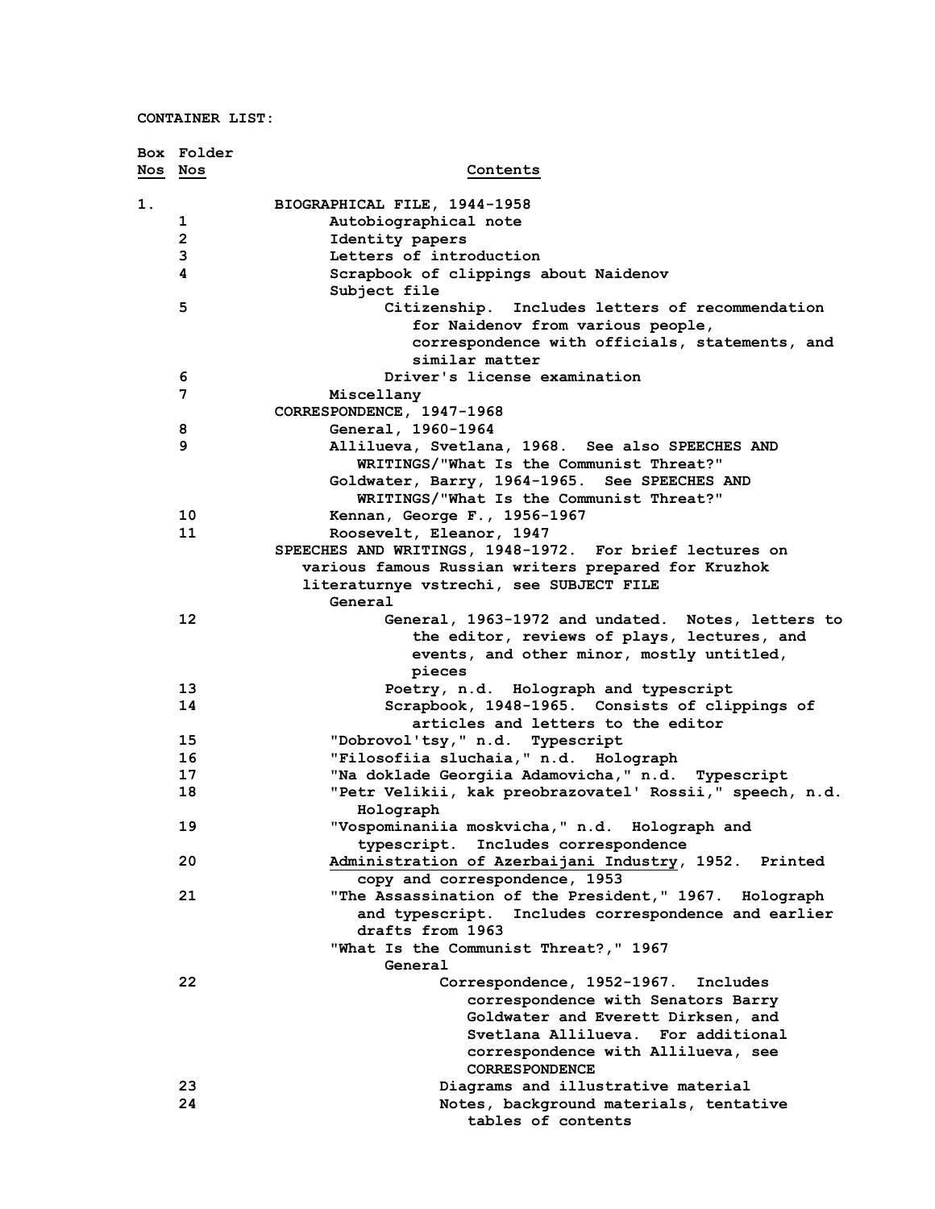|         | Box Folder              |                                                                                                  |
|---------|-------------------------|--------------------------------------------------------------------------------------------------|
| Nos Nos |                         | Contents                                                                                         |
| 1.      |                         | BIOGRAPHICAL FILE, 1944-1958                                                                     |
|         | 1                       | Autobiographical note                                                                            |
|         | $\overline{\mathbf{c}}$ | Identity papers                                                                                  |
|         | 3                       | Letters of introduction                                                                          |
|         | 4                       | Scrapbook of clippings about Naidenov<br>Subject file                                            |
|         | 5                       | Citizenship. Includes letters of recommendation                                                  |
|         |                         | for Naidenov from various people,                                                                |
|         |                         | correspondence with officials, statements, and                                                   |
|         |                         | similar matter                                                                                   |
|         | 6                       | Driver's license examination                                                                     |
|         | 7                       | Miscellany                                                                                       |
|         |                         | CORRESPONDENCE, 1947-1968                                                                        |
|         |                         | General, 1960-1964                                                                               |
|         | 8<br>9                  |                                                                                                  |
|         |                         | Allilueva, Svetlana, 1968. See also SPEECHES AND                                                 |
|         |                         | WRITINGS/"What Is the Communist Threat?"                                                         |
|         |                         | Goldwater, Barry, 1964-1965. See SPEECHES AND                                                    |
|         |                         | WRITINGS/"What Is the Communist Threat?"                                                         |
|         | 10                      | Kennan, George F., 1956-1967                                                                     |
|         | 11                      | Roosevelt, Eleanor, 1947                                                                         |
|         |                         | SPEECHES AND WRITINGS, 1948-1972. For brief lectures on                                          |
|         |                         | various famous Russian writers prepared for Kruzhok                                              |
|         |                         | literaturnye vstrechi, see SUBJECT FILE                                                          |
|         |                         | General                                                                                          |
|         | 12                      | General, 1963-1972 and undated. Notes, letters to<br>the editor, reviews of plays, lectures, and |
|         |                         | events, and other minor, mostly untitled,<br>pieces                                              |
|         | 13                      | Poetry, n.d. Holograph and typescript                                                            |
|         | 14                      | Scrapbook, 1948-1965. Consists of clippings of<br>articles and letters to the editor             |
|         |                         |                                                                                                  |
|         | 15                      | "Dobrovol'tsy," n.d. Typescript                                                                  |
|         | 16                      | "Filosofiia sluchaia, " n.d. Holograph                                                           |
|         | 17                      | "Na doklade Georgiia Adamovicha," n.d. Typescript                                                |
|         | 18                      | "Petr Velikii, kak preobrazovatel' Rossii," speech, n.d.                                         |
|         |                         | Holograph                                                                                        |
|         | 19                      | "Vospominaniia moskvicha, " n.d. Holograph and                                                   |
|         |                         | typescript.<br>Includes correspondence                                                           |
|         | 20                      | Administration of Azerbaijani Industry, 1952.<br>Printed                                         |
|         |                         | copy and correspondence, 1953                                                                    |
|         | 21                      | "The Assassination of the President," 1967. Holograph                                            |
|         |                         | and typescript. Includes correspondence and earlier                                              |
|         |                         | drafts from 1963                                                                                 |
|         |                         | "What Is the Communist Threat?," 1967                                                            |
|         |                         | General                                                                                          |
|         | 22                      | Correspondence, 1952-1967. Includes                                                              |
|         |                         | correspondence with Senators Barry                                                               |
|         |                         | Goldwater and Everett Dirksen, and                                                               |
|         |                         | Svetlana Allilueva. For additional                                                               |
|         |                         | correspondence with Allilueva, see                                                               |
|         |                         | <b>CORRESPONDENCE</b>                                                                            |
|         | 23                      | Diagrams and illustrative material                                                               |
|         | 24                      | Notes, background materials, tentative                                                           |
|         |                         | tables of contents                                                                               |